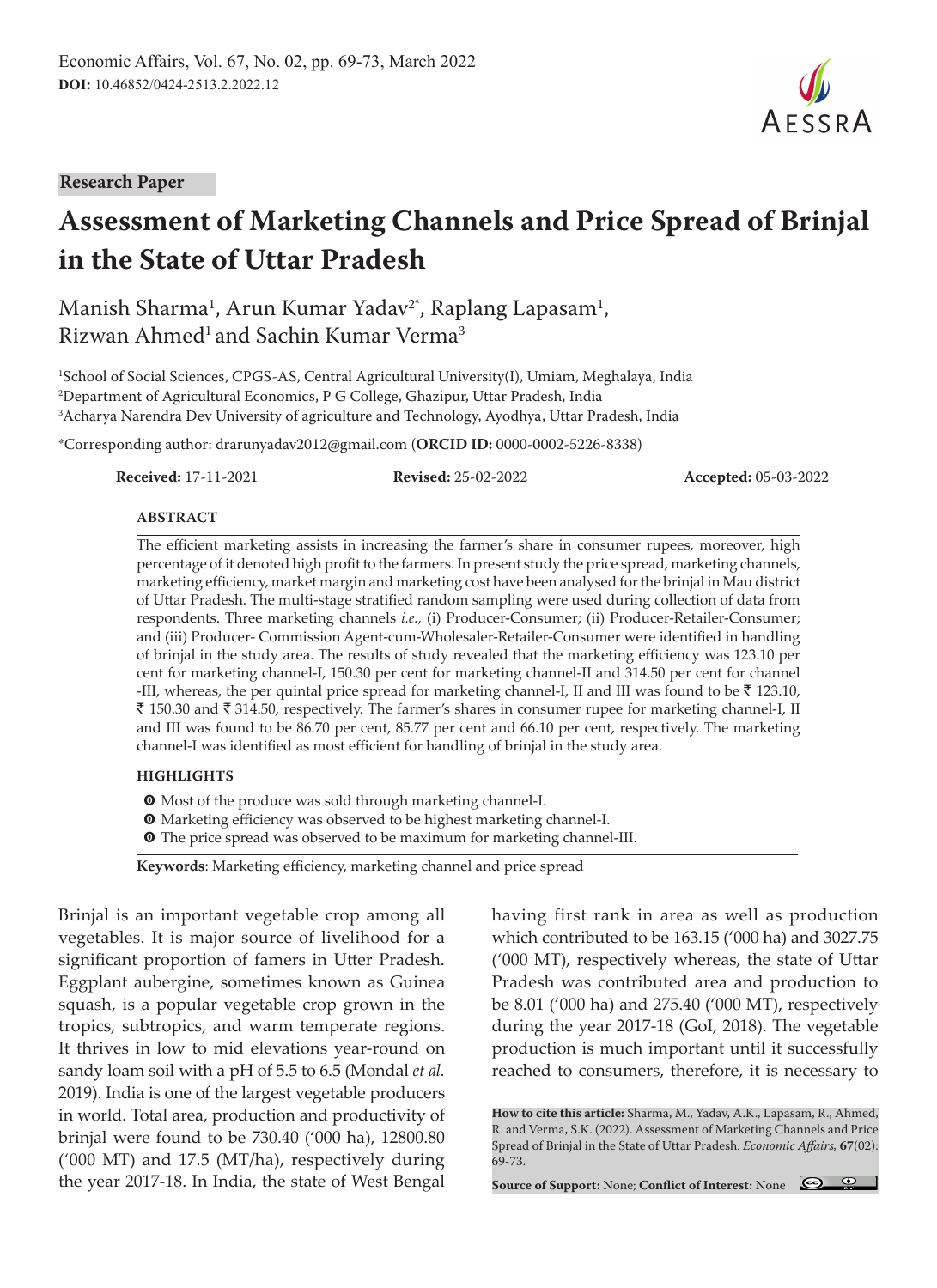#### **Research Paper**

# **Assessment of Marketing Channels and Price Spread of Brinjal in the State of Uttar Pradesh**

# Manish Sharma<sup>1</sup>, Arun Kumar Yadav<sup>2</sup>\*, Raplang Lapasam<sup>1</sup>, Rizwan Ahmed<sup>1</sup> and Sachin Kumar Verma<sup>3</sup>

1 School of Social Sciences, CPGS-AS, Central Agricultural University(I), Umiam, Meghalaya, India 2 Department of Agricultural Economics, P G College, Ghazipur, Uttar Pradesh, India 3 Acharya Narendra Dev University of agriculture and Technology, Ayodhya, Uttar Pradesh, India

\*Corresponding author: drarunyadav2012@gmail.com (**ORCID ID:** 0000-0002-5226-8338)

**Received:** 17-11-2021 **Revised:** 25-02-2022 **Accepted:** 05-03-2022

#### **ABSTRACT**

The efficient marketing assists in increasing the farmer's share in consumer rupees, moreover, high percentage of it denoted high profit to the farmers. In present study the price spread, marketing channels, marketing efficiency, market margin and marketing cost have been analysed for the brinjal in Mau district of Uttar Pradesh. The multi-stage stratified random sampling were used during collection of data from respondents. Three marketing channels *i.e.,* (i) Producer-Consumer; (ii) Producer-Retailer-Consumer; and (iii) Producer- Commission Agent-cum-Wholesaler-Retailer-Consumer were identified in handling of brinjal in the study area. The results of study revealed that the marketing efficiency was 123.10 per cent for marketing channel-I, 150.30 per cent for marketing channel-II and 314.50 per cent for channel -III, whereas, the per quintal price spread for marketing channel-I, II and III was found to be  $\bar{\tau}$  123.10, ₹ 150.30 and ₹ 314.50, respectively. The farmer's shares in consumer rupee for marketing channel-I, II and III was found to be 86.70 per cent, 85.77 per cent and 66.10 per cent, respectively. The marketing channel-I was identified as most efficient for handling of brinjal in the study area.

#### **HIGHLIGHTS**

- **O** Most of the produce was sold through marketing channel-I.
- **O** Marketing efficiency was observed to be highest marketing channel-I.
- **O** The price spread was observed to be maximum for marketing channel-III.

**Keywords**: Marketing efficiency, marketing channel and price spread

Brinjal is an important vegetable crop among all vegetables. It is major source of livelihood for a significant proportion of famers in Utter Pradesh. Eggplant aubergine, sometimes known as Guinea squash, is a popular vegetable crop grown in the tropics, subtropics, and warm temperate regions. It thrives in low to mid elevations year-round on sandy loam soil with a pH of 5.5 to 6.5 (Mondal *et al.* 2019). India is one of the largest vegetable producers in world. Total area, production and productivity of brinjal were found to be 730.40 ('000 ha), 12800.80 ('000 MT) and 17.5 (MT/ha), respectively during the year 2017-18. In India, the state of West Bengal

having first rank in area as well as production which contributed to be 163.15 ('000 ha) and 3027.75 ('000 MT), respectively whereas, the state of Uttar Pradesh was contributed area and production to be 8.01 ('000 ha) and 275.40 ('000 MT), respectively during the year 2017-18 (GoI, 2018). The vegetable production is much important until it successfully reached to consumers, therefore, it is necessary to

**How to cite this article:** Sharma, M., Yadav, A.K., Lapasam, R., Ahmed, R. and Verma, S.K. (2022). Assessment of Marketing Channels and Price Spread of Brinjal in the State of Uttar Pradesh. *Economic Affairs,* **67**(02): 69-73.

**Source of Support:** None; **Conflict of Interest:** None

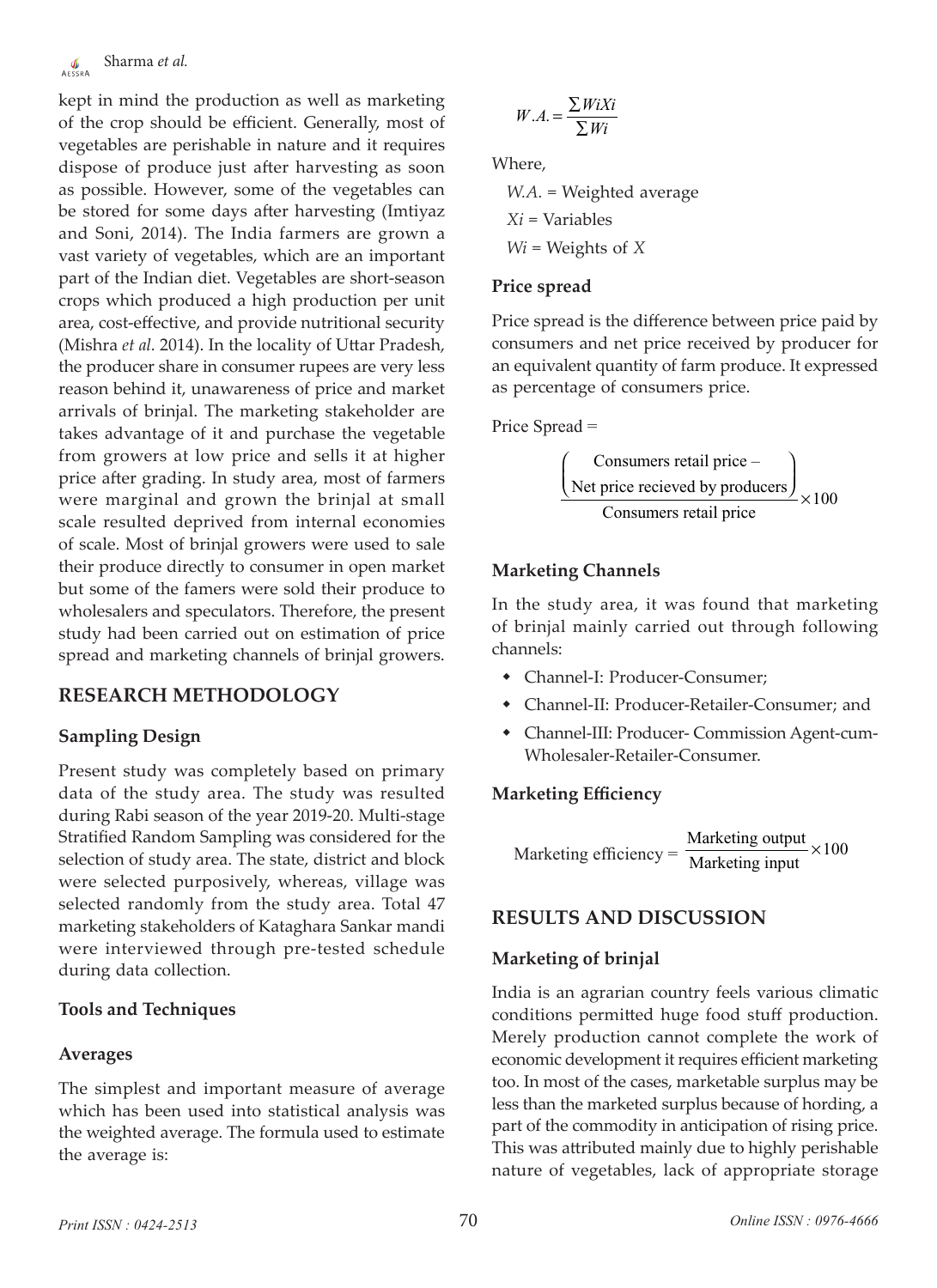kept in mind the production as well as marketing of the crop should be efficient. Generally, most of vegetables are perishable in nature and it requires dispose of produce just after harvesting as soon as possible. However, some of the vegetables can be stored for some days after harvesting (Imtiyaz and Soni, 2014). The India farmers are grown a vast variety of vegetables, which are an important part of the Indian diet. Vegetables are short-season crops which produced a high production per unit area, cost-effective, and provide nutritional security (Mishra *et al.* 2014). In the locality of Uttar Pradesh, the producer share in consumer rupees are very less reason behind it, unawareness of price and market arrivals of brinjal. The marketing stakeholder are takes advantage of it and purchase the vegetable from growers at low price and sells it at higher price after grading. In study area, most of farmers were marginal and grown the brinjal at small scale resulted deprived from internal economies of scale. Most of brinjal growers were used to sale their produce directly to consumer in open market but some of the famers were sold their produce to wholesalers and speculators. Therefore, the present study had been carried out on estimation of price spread and marketing channels of brinjal growers.

## **RESEARCH METHODOLOGY**

## **Sampling Design**

Present study was completely based on primary data of the study area. The study was resulted during Rabi season of the year 2019-20. Multi-stage Stratified Random Sampling was considered for the selection of study area. The state, district and block were selected purposively, whereas, village was selected randomly from the study area. Total 47 marketing stakeholders of Kataghara Sankar mandi were interviewed through pre-tested schedule during data collection.

#### **Tools and Techniques**

#### **Averages**

The simplest and important measure of average which has been used into statistical analysis was the weighted average. The formula used to estimate the average is:

$$
W.A. = \frac{\sum W i X i}{\sum W i}
$$

Where,

*W.A.* = Weighted average *Xi* = Variables *Wi* = Weights of *X*

#### **Price spread**

Price spread is the difference between price paid by consumers and net price received by producer for an equivalent quantity of farm produce. It expressed as percentage of consumers price.

Price Spread =

$$
\frac{\left(\text{Consumes retail price} - \right)}{\text{Net price received by producers}} \times 100
$$
\n
$$
\frac{\left(\text{Consumes retail price} - \right)}{\text{Consumes retail price}}
$$

#### **Marketing Channels**

In the study area, it was found that marketing of brinjal mainly carried out through following channels:

- Channel-I: Producer-Consumer;
- Channel-II: Producer-Retailer-Consumer; and
- Channel-III: Producer- Commission Agent-cum-Wholesaler-Retailer-Consumer.

#### **Marketing Efficiency**

Marketing efficiency =  $\frac{\text{Marketing output}}{\text{Marketing input}} \times 100$ ×

## **RESULTS AND DISCUSSION**

#### **Marketing of brinjal**

India is an agrarian country feels various climatic conditions permitted huge food stuff production. Merely production cannot complete the work of economic development it requires efficient marketing too. In most of the cases, marketable surplus may be less than the marketed surplus because of hording, a part of the commodity in anticipation of rising price. This was attributed mainly due to highly perishable nature of vegetables, lack of appropriate storage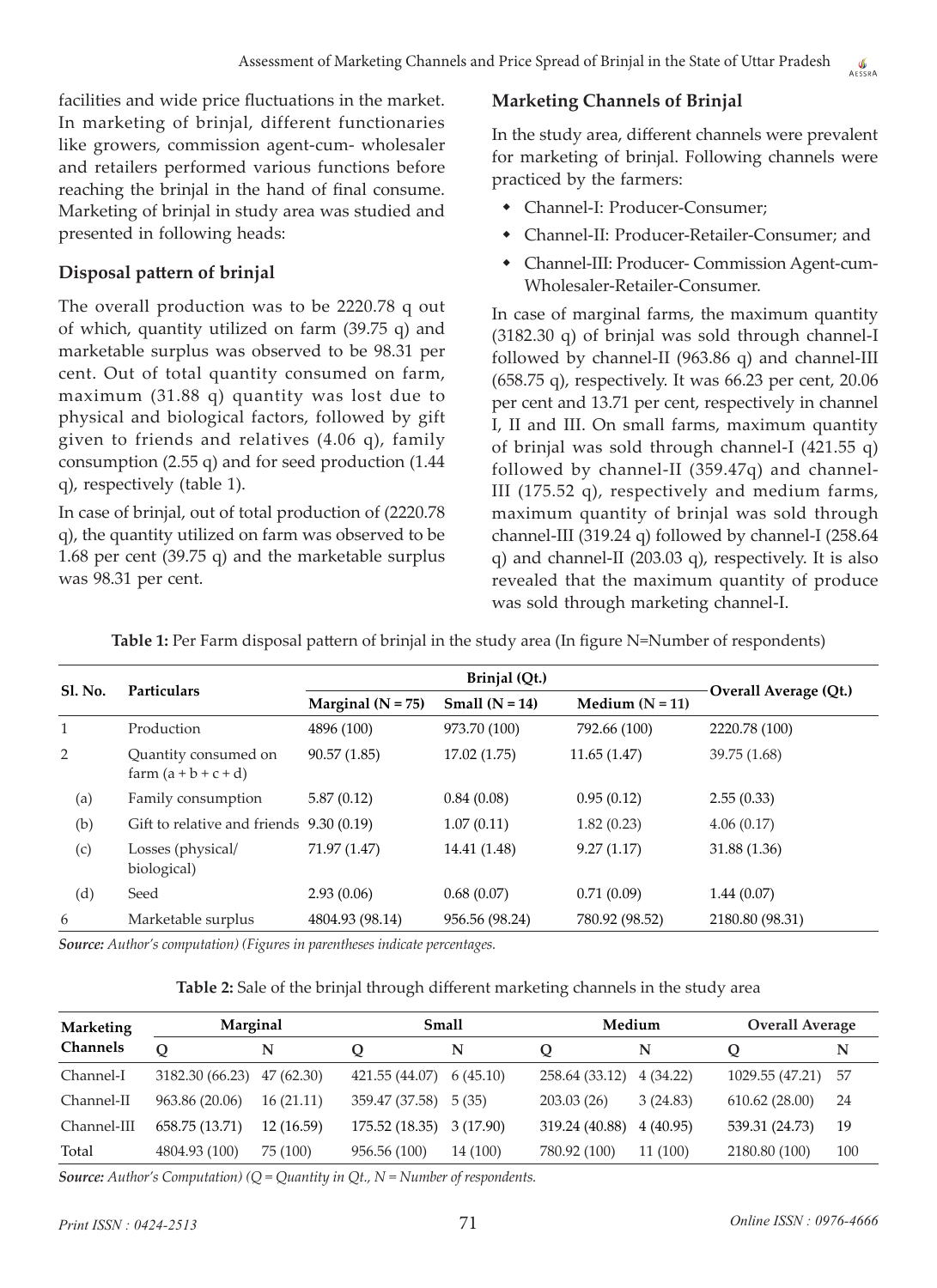facilities and wide price fluctuations in the market. In marketing of brinjal, different functionaries like growers, commission agent-cum- wholesaler and retailers performed various functions before reaching the brinjal in the hand of final consume. Marketing of brinjal in study area was studied and presented in following heads:

# **Disposal pattern of brinjal**

The overall production was to be 2220.78 q out of which, quantity utilized on farm (39.75 q) and marketable surplus was observed to be 98.31 per cent. Out of total quantity consumed on farm, maximum (31.88 q) quantity was lost due to physical and biological factors, followed by gift given to friends and relatives (4.06 q), family consumption (2.55 q) and for seed production (1.44 q), respectively (table 1).

In case of brinjal, out of total production of (2220.78 q), the quantity utilized on farm was observed to be 1.68 per cent (39.75 q) and the marketable surplus was 98.31 per cent.

#### **Marketing Channels of Brinjal**

In the study area, different channels were prevalent for marketing of brinjal. Following channels were practiced by the farmers:

- Channel-I: Producer-Consumer;
- Channel-II: Producer-Retailer-Consumer; and
- Channel-III: Producer- Commission Agent-cum-Wholesaler-Retailer-Consumer.

In case of marginal farms, the maximum quantity (3182.30 q) of brinjal was sold through channel-I followed by channel-II (963.86 q) and channel-III (658.75 q), respectively. It was 66.23 per cent, 20.06 per cent and 13.71 per cent, respectively in channel I, II and III. On small farms, maximum quantity of brinjal was sold through channel-I (421.55 q) followed by channel-II (359.47q) and channel-III (175.52 q), respectively and medium farms, maximum quantity of brinjal was sold through channel-III (319.24 q) followed by channel-I (258.64 q) and channel-II (203.03 q), respectively. It is also revealed that the maximum quantity of produce was sold through marketing channel-I.

| <b>Sl. No.</b> | <b>Particulars</b>                             |                     |                  |                   |                       |
|----------------|------------------------------------------------|---------------------|------------------|-------------------|-----------------------|
|                |                                                | Marginal $(N = 75)$ | Small $(N = 14)$ | Medium $(N = 11)$ | Overall Average (Qt.) |
| 1              | Production                                     | 4896 (100)          | 973.70 (100)     | 792.66 (100)      | 2220.78 (100)         |
| 2              | Quantity consumed on<br>farm $(a + b + c + d)$ | 90.57(1.85)         | 17.02(1.75)      | 11.65(1.47)       | 39.75 (1.68)          |
| (a)            | Family consumption                             | 5.87(0.12)          | 0.84(0.08)       | 0.95(0.12)        | 2.55(0.33)            |
| (b)            | Gift to relative and friends                   | 9.30(0.19)          | 1.07(0.11)       | 1.82(0.23)        | 4.06(0.17)            |
| (c)            | Losses (physical/<br>biological)               | 71.97 (1.47)        | 14.41 (1.48)     | 9.27(1.17)        | 31.88 (1.36)          |
| (d)            | Seed                                           | 2.93(0.06)          | 0.68(0.07)       | 0.71(0.09)        | 1.44(0.07)            |
| 6              | Marketable surplus                             | 4804.93 (98.14)     | 956.56 (98.24)   | 780.92 (98.52)    | 2180.80 (98.31)       |

**Table 1:** Per Farm disposal pattern of brinjal in the study area (In figure N=Number of respondents)

*Source: Author's computation) (Figures in parentheses indicate percentages.*

| <b>Marketing</b> | Marginal        |            | <b>Small</b>   |           | Medium         |          | <b>Overall Average</b> |     |
|------------------|-----------------|------------|----------------|-----------|----------------|----------|------------------------|-----|
| Channels         | O               | N          | Ő              | N         | Ő              | N        | $\mathbf o$            | N   |
| Channel-I        | 3182.30 (66.23) | 47(62.30)  | 421.55 (44.07) | 6(45.10)  | 258.64 (33.12) | 4(34.22) | 1029.55 (47.21)        | -57 |
| Channel-II       | 963.86 (20.06)  | 16(21.11)  | 359.47 (37.58) | 5(35)     | 203.03 (26)    | 3(24.83) | 610.62(28.00)          | 24  |
| Channel-III      | 658.75 (13.71)  | 12 (16.59) | 175.52 (18.35) | 3 (17.90) | 319.24 (40.88) | 4(40.95) | 539.31 (24.73)         | 19  |
| Total            | 4804.93 (100)   | 75 (100)   | 956.56 (100)   | 14 (100)  | 780.92 (100)   | 11 (100) | 2180.80 (100)          | 100 |

*Source: Author's Computation) (Q = Quantity in Qt., N = Number of respondents.*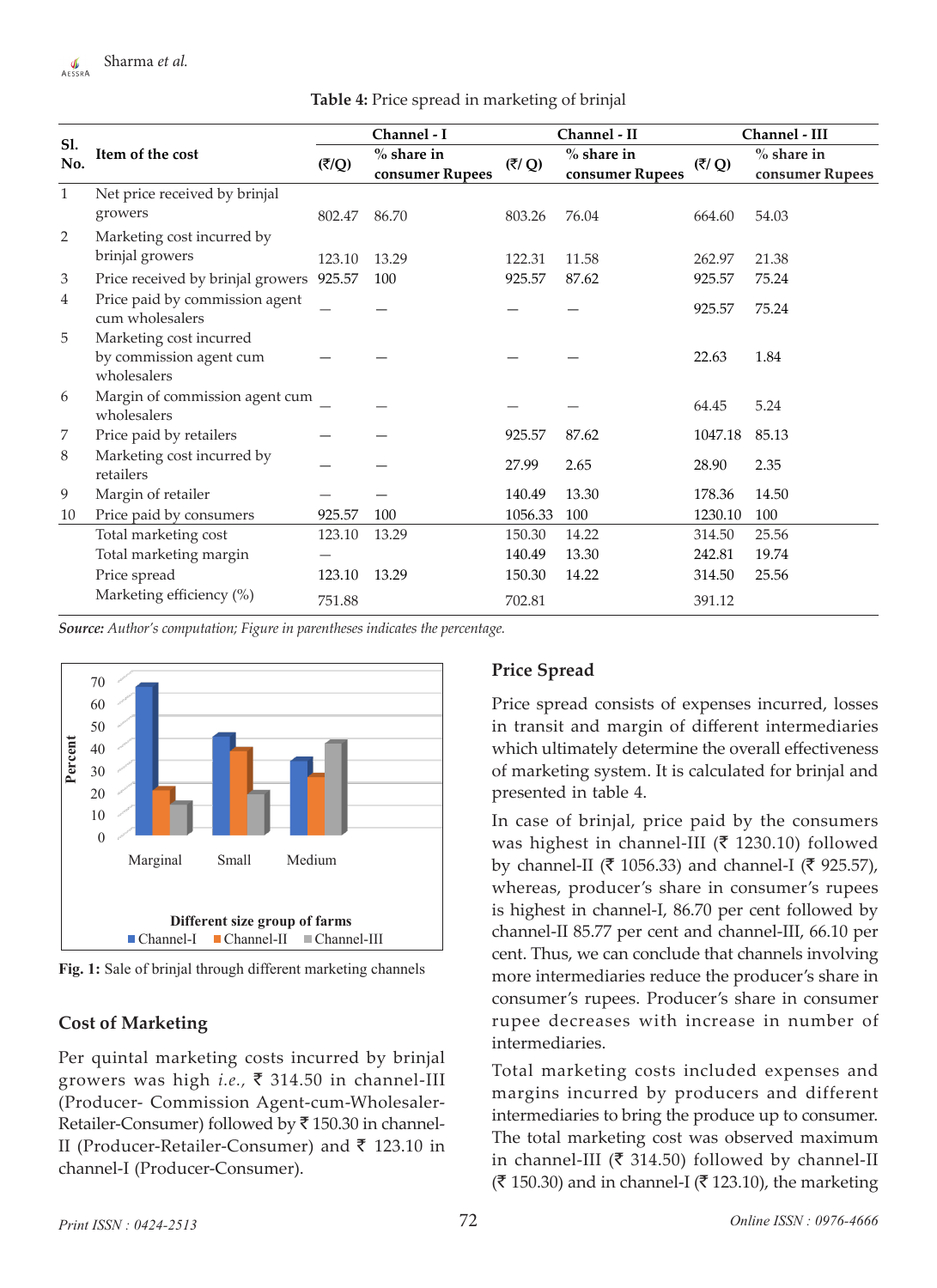| Sl.<br>No.   | Item of the cost                                                  | Channel - I |                                 | Channel - II |                                 | Channel - III |                                 |
|--------------|-------------------------------------------------------------------|-------------|---------------------------------|--------------|---------------------------------|---------------|---------------------------------|
|              |                                                                   | (ξ/Q)       | $%$ share in<br>consumer Rupees | (₹/ Q)       | $%$ share in<br>consumer Rupees | (ξ/Q)         | $%$ share in<br>consumer Rupees |
| $\mathbf{1}$ | Net price received by brinjal<br>growers                          | 802.47      | 86.70                           | 803.26       | 76.04                           | 664.60        | 54.03                           |
| 2            | Marketing cost incurred by<br>brinjal growers                     | 123.10      | 13.29                           | 122.31       | 11.58                           | 262.97        | 21.38                           |
| 3            | Price received by brinjal growers 925.57                          |             | 100                             | 925.57       | 87.62                           | 925.57        | 75.24                           |
| 4            | Price paid by commission agent<br>cum wholesalers                 |             |                                 |              |                                 | 925.57        | 75.24                           |
| 5            | Marketing cost incurred<br>by commission agent cum<br>wholesalers |             |                                 |              |                                 | 22.63         | 1.84                            |
| 6            | Margin of commission agent cum<br>wholesalers                     |             |                                 |              |                                 | 64.45         | 5.24                            |
| 7            | Price paid by retailers                                           |             |                                 | 925.57       | 87.62                           | 1047.18       | 85.13                           |
| 8            | Marketing cost incurred by<br>retailers                           |             |                                 | 27.99        | 2.65                            | 28.90         | 2.35                            |
| 9            | Margin of retailer                                                |             |                                 | 140.49       | 13.30                           | 178.36        | 14.50                           |
| 10           | Price paid by consumers                                           | 925.57      | 100                             | 1056.33      | 100                             | 1230.10       | 100                             |
|              | Total marketing cost                                              | 123.10      | 13.29                           | 150.30       | 14.22                           | 314.50        | 25.56                           |
|              | Total marketing margin                                            |             |                                 | 140.49       | 13.30                           | 242.81        | 19.74                           |
|              | Price spread                                                      | 123.10      | 13.29                           | 150.30       | 14.22                           | 314.50        | 25.56                           |
|              | Marketing efficiency (%)                                          | 751.88      |                                 | 702.81       |                                 | 391.12        |                                 |

**Table 4:** Price spread in marketing of brinjal

*Source: Author's computation; Figure in parentheses indicates the percentage.*



**Fig. 1:** Sale of brinjal through different marketing channels

## **Cost of Marketing**

Per quintal marketing costs incurred by brinjal growers was high *i.e.*, ₹ 314.50 in channel-III (Producer- Commission Agent-cum-Wholesaler-Retailer-Consumer) followed by  $\bar{\tau}$  150.30 in channel-II (Producer-Retailer-Consumer) and  $\bar{\tau}$  123.10 in channel-I (Producer-Consumer).

## **Price Spread**

Price spread consists of expenses incurred, losses in transit and margin of different intermediaries which ultimately determine the overall effectiveness of marketing system. It is calculated for brinjal and presented in table 4.

In case of brinjal, price paid by the consumers was highest in channel-III ( $\bar{\tau}$  1230.10) followed by channel-II ( $\bar{\tau}$  1056.33) and channel-I ( $\bar{\tau}$  925.57), whereas, producer's share in consumer's rupees is highest in channel-I, 86.70 per cent followed by channel-II 85.77 per cent and channel-III, 66.10 per cent. Thus, we can conclude that channels involving more intermediaries reduce the producer's share in consumer's rupees. Producer's share in consumer rupee decreases with increase in number of intermediaries.

Total marketing costs included expenses and margins incurred by producers and different intermediaries to bring the produce up to consumer. The total marketing cost was observed maximum in channel-III ( $\bar{\tau}$  314.50) followed by channel-II  $({\bar$ ₹ 150.30) and in channel-I (₹ 123.10), the marketing